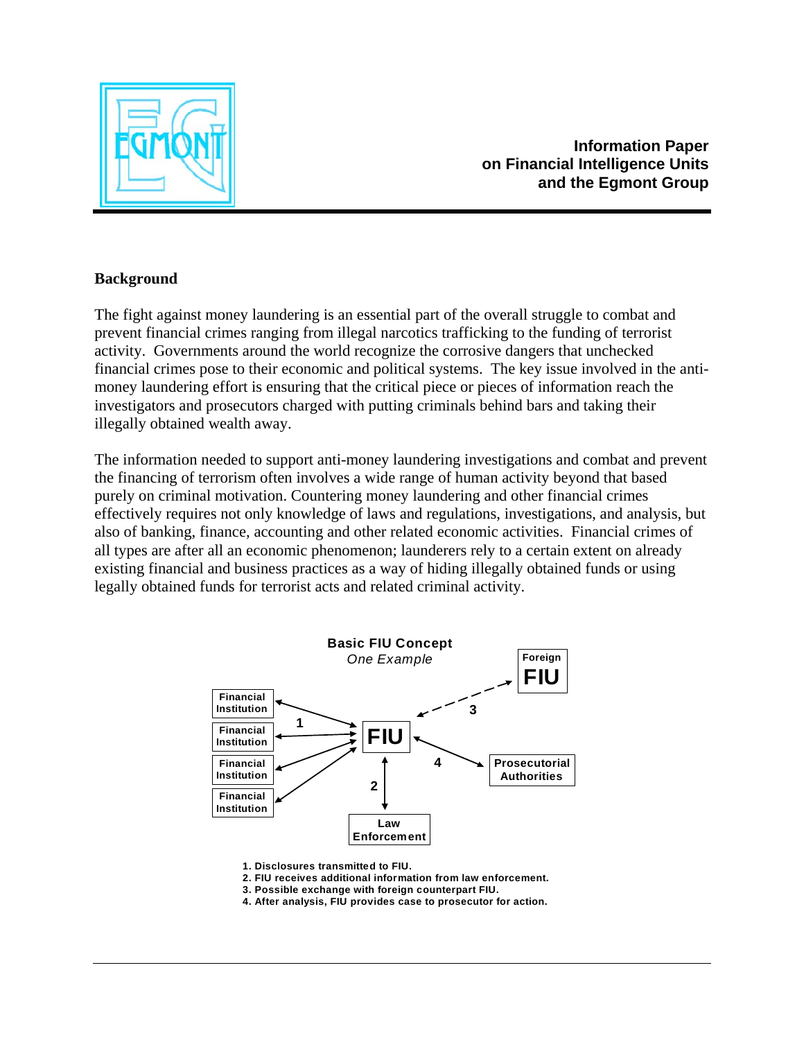

# **Information Paper on Financial Intelligence Units and the Egmont Group**

### **Background**

The fight against money laundering is an essential part of the overall struggle to combat and prevent financial crimes ranging from illegal narcotics trafficking to the funding of terrorist activity. Governments around the world recognize the corrosive dangers that unchecked financial crimes pose to their economic and political systems. The key issue involved in the antimoney laundering effort is ensuring that the critical piece or pieces of information reach the investigators and prosecutors charged with putting criminals behind bars and taking their illegally obtained wealth away.

The information needed to support anti-money laundering investigations and combat and prevent the financing of terrorism often involves a wide range of human activity beyond that based purely on criminal motivation. Countering money laundering and other financial crimes effectively requires not only knowledge of laws and regulations, investigations, and analysis, but also of banking, finance, accounting and other related economic activities. Financial crimes of all types are after all an economic phenomenon; launderers rely to a certain extent on already existing financial and business practices as a way of hiding illegally obtained funds or using legally obtained funds for terrorist acts and related criminal activity.



- **1. Disclosures transmitted to FIU.**
- **2. FIU receives additional information from law enforcement.**
- **3. Possible exchange with foreign counterpart FIU.**
- **4. After analysis, FIU provides case to prosecutor for action.**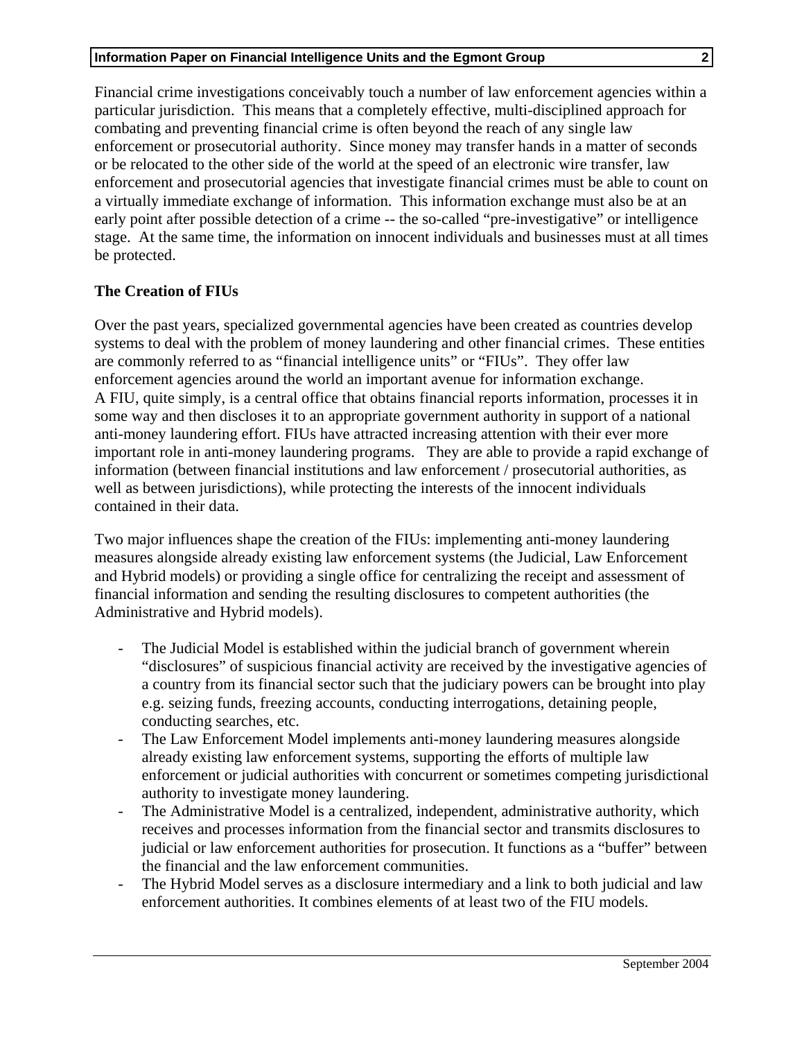Financial crime investigations conceivably touch a number of law enforcement agencies within a particular jurisdiction. This means that a completely effective, multi-disciplined approach for combating and preventing financial crime is often beyond the reach of any single law enforcement or prosecutorial authority. Since money may transfer hands in a matter of seconds or be relocated to the other side of the world at the speed of an electronic wire transfer, law enforcement and prosecutorial agencies that investigate financial crimes must be able to count on a virtually immediate exchange of information. This information exchange must also be at an early point after possible detection of a crime -- the so-called "pre-investigative" or intelligence stage. At the same time, the information on innocent individuals and businesses must at all times be protected.

## **The Creation of FIUs**

Over the past years, specialized governmental agencies have been created as countries develop systems to deal with the problem of money laundering and other financial crimes. These entities are commonly referred to as "financial intelligence units" or "FIUs". They offer law enforcement agencies around the world an important avenue for information exchange. A FIU, quite simply, is a central office that obtains financial reports information, processes it in some way and then discloses it to an appropriate government authority in support of a national anti-money laundering effort. FIUs have attracted increasing attention with their ever more important role in anti-money laundering programs. They are able to provide a rapid exchange of information (between financial institutions and law enforcement / prosecutorial authorities, as well as between jurisdictions), while protecting the interests of the innocent individuals contained in their data.

Two major influences shape the creation of the FIUs: implementing anti-money laundering measures alongside already existing law enforcement systems (the Judicial, Law Enforcement and Hybrid models) or providing a single office for centralizing the receipt and assessment of financial information and sending the resulting disclosures to competent authorities (the Administrative and Hybrid models).

- The Judicial Model is established within the judicial branch of government wherein "disclosures" of suspicious financial activity are received by the investigative agencies of a country from its financial sector such that the judiciary powers can be brought into play e.g. seizing funds, freezing accounts, conducting interrogations, detaining people, conducting searches, etc.
- The Law Enforcement Model implements anti-money laundering measures alongside already existing law enforcement systems, supporting the efforts of multiple law enforcement or judicial authorities with concurrent or sometimes competing jurisdictional authority to investigate money laundering.
- The Administrative Model is a centralized, independent, administrative authority, which receives and processes information from the financial sector and transmits disclosures to judicial or law enforcement authorities for prosecution. It functions as a "buffer" between the financial and the law enforcement communities.
- The Hybrid Model serves as a disclosure intermediary and a link to both judicial and law enforcement authorities. It combines elements of at least two of the FIU models.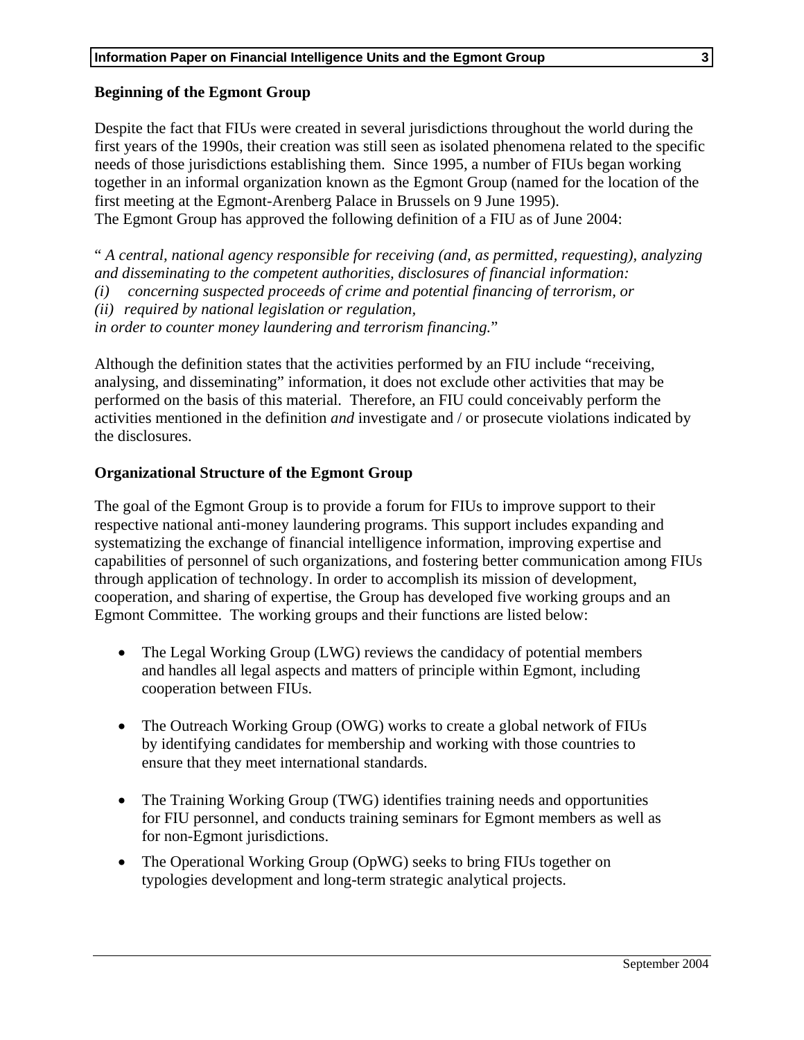#### **Beginning of the Egmont Group**

Despite the fact that FIUs were created in several jurisdictions throughout the world during the first years of the 1990s, their creation was still seen as isolated phenomena related to the specific needs of those jurisdictions establishing them. Since 1995, a number of FIUs began working together in an informal organization known as the Egmont Group (named for the location of the first meeting at the Egmont-Arenberg Palace in Brussels on 9 June 1995). The Egmont Group has approved the following definition of a FIU as of June 2004:

" *A central, national agency responsible for receiving (and, as permitted, requesting), analyzing and disseminating to the competent authorities, disclosures of financial information: (i) concerning suspected proceeds of crime and potential financing of terrorism, or (ii) required by national legislation or regulation, in order to counter money laundering and terrorism financing.*"

Although the definition states that the activities performed by an FIU include "receiving, analysing, and disseminating" information, it does not exclude other activities that may be performed on the basis of this material. Therefore, an FIU could conceivably perform the activities mentioned in the definition *and* investigate and / or prosecute violations indicated by the disclosures.

### **Organizational Structure of the Egmont Group**

The goal of the Egmont Group is to provide a forum for FIUs to improve support to their respective national anti-money laundering programs. This support includes expanding and systematizing the exchange of financial intelligence information, improving expertise and capabilities of personnel of such organizations, and fostering better communication among FIUs through application of technology. In order to accomplish its mission of development, cooperation, and sharing of expertise, the Group has developed five working groups and an Egmont Committee. The working groups and their functions are listed below:

- The Legal Working Group (LWG) reviews the candidacy of potential members and handles all legal aspects and matters of principle within Egmont, including cooperation between FIUs.
- The Outreach Working Group (OWG) works to create a global network of FIUs by identifying candidates for membership and working with those countries to ensure that they meet international standards.
- The Training Working Group (TWG) identifies training needs and opportunities for FIU personnel, and conducts training seminars for Egmont members as well as for non-Egmont jurisdictions.
- The Operational Working Group (OpWG) seeks to bring FIUs together on typologies development and long-term strategic analytical projects.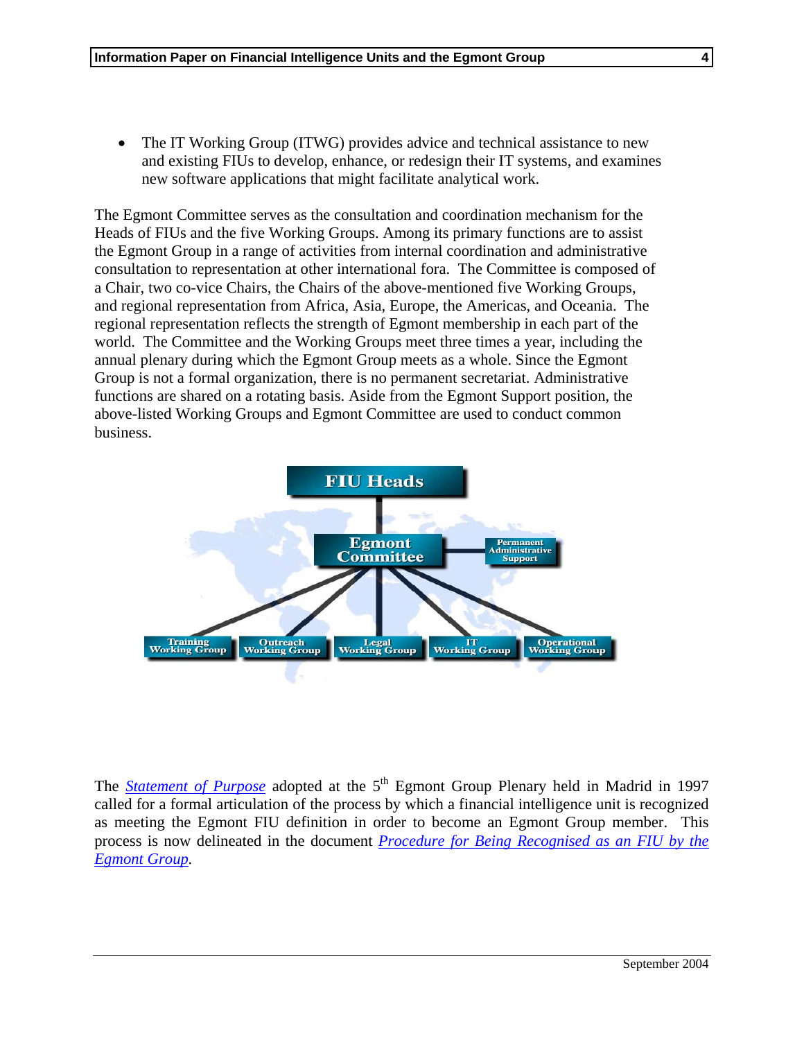• The IT Working Group (ITWG) provides advice and technical assistance to new and existing FIUs to develop, enhance, or redesign their IT systems, and examines new software applications that might facilitate analytical work.

The Egmont Committee serves as the consultation and coordination mechanism for the Heads of FIUs and the five Working Groups. Among its primary functions are to assist the Egmont Group in a range of activities from internal coordination and administrative consultation to representation at other international fora. The Committee is composed of a Chair, two co-vice Chairs, the Chairs of the above-mentioned five Working Groups, and regional representation from Africa, Asia, Europe, the Americas, and Oceania. The regional representation reflects the strength of Egmont membership in each part of the world. The Committee and the Working Groups meet three times a year, including the annual plenary during which the Egmont Group meets as a whole. Since the Egmont Group is not a formal organization, there is no permanent secretariat. Administrative functions are shared on a rotating basis. Aside from the Egmont Support position, the above-listed Working Groups and Egmont Committee are used to conduct common business.



The **[Statement of Purpose](http://www.egmontgroup.org/statement_of_purpose.pdf)** adopted at the 5<sup>th</sup> Egmont Group Plenary held in Madrid in 1997 called for a formal articulation of the process by which a financial intelligence unit is recognized as meeting the Egmont FIU definition in order to become an Egmont Group member. This process is now delineated in the document *[Procedure for Being Recognised as an FIU by the](http://www.egmontgroup.org/procedure_for_being_recognised.pdf)  [Egmont Group.](http://www.egmontgroup.org/procedure_for_being_recognised.pdf)*